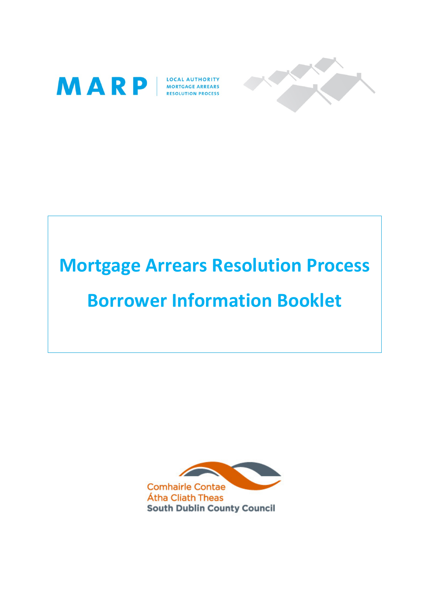



# Mortgage Arrears Resolution Process

## Borrower Information Booklet

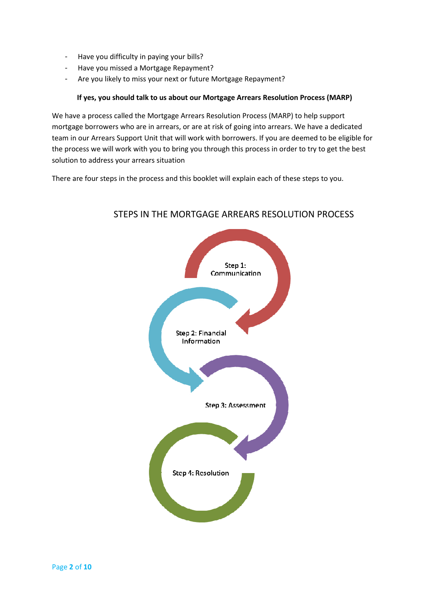- Have you difficulty in paying your bills?
- Have you missed a Mortgage Repayment?
- Are you likely to miss your next or future Mortgage Repayment?

#### If yes, you should talk to us about our Mortgage Arrears Resolution Process (MARP)

We have a process called the Mortgage Arrears Resolution Process (MARP) to help support mortgage borrowers who are in arrears, or are at risk of going into arrears. We have a dedicated team in our Arrears Support Unit that will work with borrowers. If you are deemed to be eligible for the process we will work with you to bring you through this process in order to try to get the best solution to address your arrears situation

There are four steps in the process and this booklet will explain each of these steps to you.



### STEPS IN THE MORTGAGE ARREARS RESOLUTION PROCESS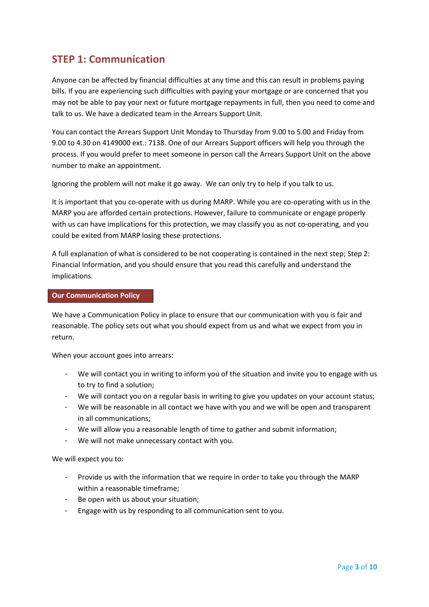## STEP 1: Communication

Anyone can be affected by financial difficulties at any time and this can result in problems paying bills. If you are experiencing such difficulties with paying your mortgage or are concerned that you may not be able to pay your next or future mortgage repayments in full, then you need to come and talk to us. We have a dedicated team in the Arrears Support Unit.

You can contact the Arrears Support Unit Monday to Thursday from 9.00 to 5.00 and Friday from 9.00 to 4.30 on 4149000 ext.: 7138. One of our Arrears Support officers will help you through the process. If you would prefer to meet someone in person call the Arrears Support Unit on the above number to make an appointment.

Ignoring the problem will not make it go away. We can only try to help if you talk to us.

It is important that you co-operate with us during MARP. While you are co-operating with us in the MARP you are afforded certain protections. However, failure to communicate or engage properly with us can have implications for this protection, we may classify you as not co-operating, and you could be exited from MARP losing these protections.

A full explanation of what is considered to be not cooperating is contained in the next step; Step 2: Financial Information, and you should ensure that you read this carefully and understand the implications.

#### Our Communication Policy

We have a Communication Policy in place to ensure that our communication with you is fair and reasonable. The policy sets out what you should expect from us and what we expect from you in return.

When your account goes into arrears:

- We will contact you in writing to inform you of the situation and invite you to engage with us to try to find a solution;
- We will contact you on a regular basis in writing to give you updates on your account status;
- We will be reasonable in all contact we have with you and we will be open and transparent in all communications;
- We will allow you a reasonable length of time to gather and submit information;
- We will not make unnecessary contact with you.

We will expect you to:

- Provide us with the information that we require in order to take you through the MARP within a reasonable timeframe;
- Be open with us about your situation;
- Engage with us by responding to all communication sent to you.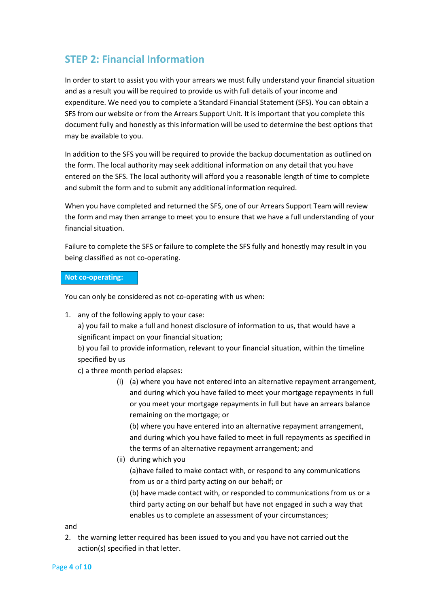## STEP 2: Financial Information

In order to start to assist you with your arrears we must fully understand your financial situation and as a result you will be required to provide us with full details of your income and expenditure. We need you to complete a Standard Financial Statement (SFS). You can obtain a SFS from our website or from the Arrears Support Unit. It is important that you complete this document fully and honestly as this information will be used to determine the best options that may be available to you.

In addition to the SFS you will be required to provide the backup documentation as outlined on the form. The local authority may seek additional information on any detail that you have entered on the SFS. The local authority will afford you a reasonable length of time to complete and submit the form and to submit any additional information required.

When you have completed and returned the SFS, one of our Arrears Support Team will review the form and may then arrange to meet you to ensure that we have a full understanding of your financial situation.

Failure to complete the SFS or failure to complete the SFS fully and honestly may result in you being classified as not co-operating.

#### Not co-operating:

You can only be considered as not co-operating with us when:

1. any of the following apply to your case:

a) you fail to make a full and honest disclosure of information to us, that would have a significant impact on your financial situation;

b) you fail to provide information, relevant to your financial situation, within the timeline specified by us

- c) a three month period elapses:
	- (i) (a) where you have not entered into an alternative repayment arrangement, and during which you have failed to meet your mortgage repayments in full or you meet your mortgage repayments in full but have an arrears balance remaining on the mortgage; or

(b) where you have entered into an alternative repayment arrangement, and during which you have failed to meet in full repayments as specified in the terms of an alternative repayment arrangement; and

(ii) during which you

(a)have failed to make contact with, or respond to any communications from us or a third party acting on our behalf; or

(b) have made contact with, or responded to communications from us or a third party acting on our behalf but have not engaged in such a way that enables us to complete an assessment of your circumstances;

and

2. the warning letter required has been issued to you and you have not carried out the action(s) specified in that letter.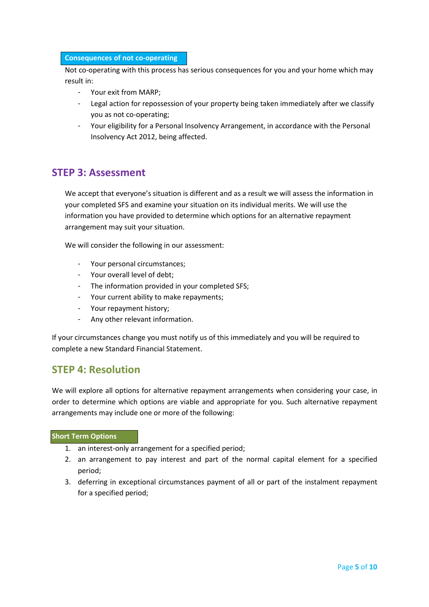#### Consequences of not co-operating

Not co-operating with this process has serious consequences for you and your home which may result in:

- Your exit from MARP;
- Legal action for repossession of your property being taken immediately after we classify you as not co-operating;
- Your eligibility for a Personal Insolvency Arrangement, in accordance with the Personal Insolvency Act 2012, being affected.

## STEP 3: Assessment

We accept that everyone's situation is different and as a result we will assess the information in your completed SFS and examine your situation on its individual merits. We will use the information you have provided to determine which options for an alternative repayment arrangement may suit your situation.

We will consider the following in our assessment:

- Your personal circumstances;
- Your overall level of debt:
- The information provided in your completed SFS;
- Your current ability to make repayments;
- Your repayment history;
- Any other relevant information.

If your circumstances change you must notify us of this immediately and you will be required to complete a new Standard Financial Statement.

## STEP 4: Resolution

We will explore all options for alternative repayment arrangements when considering your case, in order to determine which options are viable and appropriate for you. Such alternative repayment arrangements may include one or more of the following:

#### Short Term Options

- 1. an interest-only arrangement for a specified period;
- 2. an arrangement to pay interest and part of the normal capital element for a specified period;
- 3. deferring in exceptional circumstances payment of all or part of the instalment repayment for a specified period;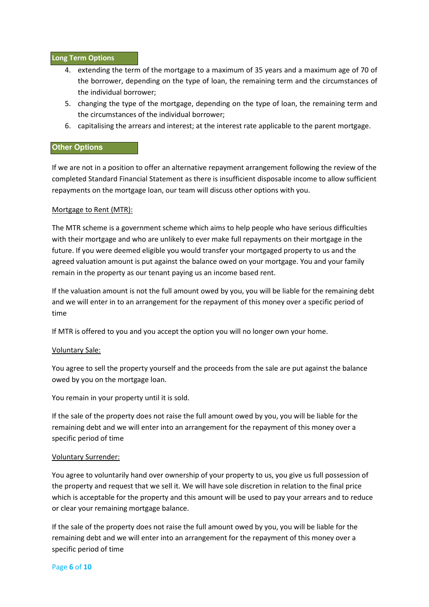#### Long Term Options

- 4. extending the term of the mortgage to a maximum of 35 years and a maximum age of 70 of the borrower, depending on the type of loan, the remaining term and the circumstances of the individual borrower;
- 5. changing the type of the mortgage, depending on the type of loan, the remaining term and the circumstances of the individual borrower;
- 6. capitalising the arrears and interest; at the interest rate applicable to the parent mortgage.

#### **Other Options**

If we are not in a position to offer an alternative repayment arrangement following the review of the completed Standard Financial Statement as there is insufficient disposable income to allow sufficient repayments on the mortgage loan, our team will discuss other options with you.

#### Mortgage to Rent (MTR):

The MTR scheme is a government scheme which aims to help people who have serious difficulties with their mortgage and who are unlikely to ever make full repayments on their mortgage in the future. If you were deemed eligible you would transfer your mortgaged property to us and the agreed valuation amount is put against the balance owed on your mortgage. You and your family remain in the property as our tenant paying us an income based rent.

If the valuation amount is not the full amount owed by you, you will be liable for the remaining debt and we will enter in to an arrangement for the repayment of this money over a specific period of time

If MTR is offered to you and you accept the option you will no longer own your home.

#### Voluntary Sale:

You agree to sell the property yourself and the proceeds from the sale are put against the balance owed by you on the mortgage loan.

You remain in your property until it is sold.

If the sale of the property does not raise the full amount owed by you, you will be liable for the remaining debt and we will enter into an arrangement for the repayment of this money over a specific period of time

#### Voluntary Surrender:

You agree to voluntarily hand over ownership of your property to us, you give us full possession of the property and request that we sell it. We will have sole discretion in relation to the final price which is acceptable for the property and this amount will be used to pay your arrears and to reduce or clear your remaining mortgage balance.

If the sale of the property does not raise the full amount owed by you, you will be liable for the remaining debt and we will enter into an arrangement for the repayment of this money over a specific period of time

#### Page 6 of 10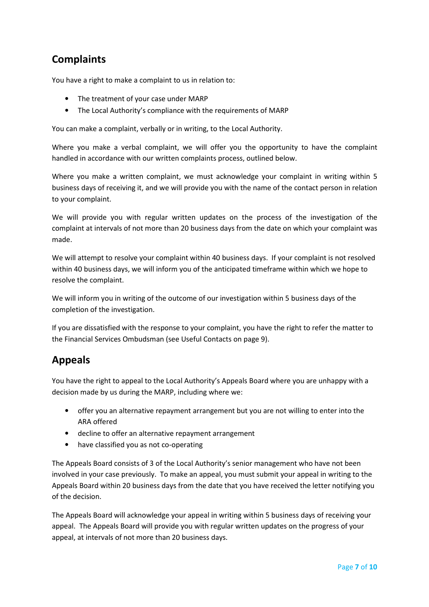## **Complaints**

You have a right to make a complaint to us in relation to:

- The treatment of your case under MARP
- The Local Authority's compliance with the requirements of MARP

You can make a complaint, verbally or in writing, to the Local Authority.

Where you make a verbal complaint, we will offer you the opportunity to have the complaint handled in accordance with our written complaints process, outlined below.

Where you make a written complaint, we must acknowledge your complaint in writing within 5 business days of receiving it, and we will provide you with the name of the contact person in relation to your complaint.

We will provide you with regular written updates on the process of the investigation of the complaint at intervals of not more than 20 business days from the date on which your complaint was made.

We will attempt to resolve your complaint within 40 business days. If your complaint is not resolved within 40 business days, we will inform you of the anticipated timeframe within which we hope to resolve the complaint.

We will inform you in writing of the outcome of our investigation within 5 business days of the completion of the investigation.

If you are dissatisfied with the response to your complaint, you have the right to refer the matter to the Financial Services Ombudsman (see Useful Contacts on page 9).

## Appeals

You have the right to appeal to the Local Authority's Appeals Board where you are unhappy with a decision made by us during the MARP, including where we:

- offer you an alternative repayment arrangement but you are not willing to enter into the ARA offered
- decline to offer an alternative repayment arrangement
- have classified you as not co-operating

The Appeals Board consists of 3 of the Local Authority's senior management who have not been involved in your case previously. To make an appeal, you must submit your appeal in writing to the Appeals Board within 20 business days from the date that you have received the letter notifying you of the decision.

The Appeals Board will acknowledge your appeal in writing within 5 business days of receiving your appeal. The Appeals Board will provide you with regular written updates on the progress of your appeal, at intervals of not more than 20 business days.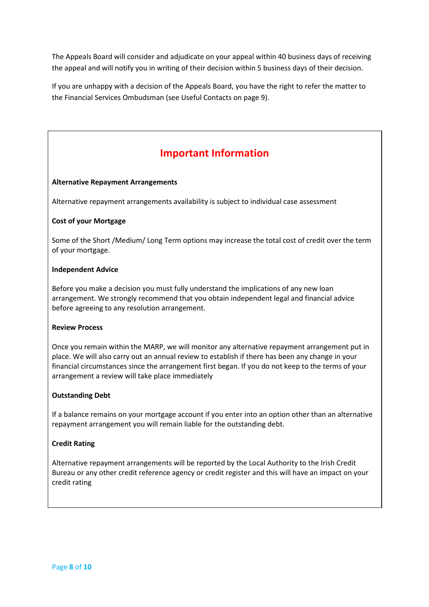The Appeals Board will consider and adjudicate on your appeal within 40 business days of receiving the appeal and will notify you in writing of their decision within 5 business days of their decision.

If you are unhappy with a decision of the Appeals Board, you have the right to refer the matter to the Financial Services Ombudsman (see Useful Contacts on page 9).

## Important Information

#### Alternative Repayment Arrangements

Alternative repayment arrangements availability is subject to individual case assessment

#### Cost of your Mortgage

Some of the Short /Medium/ Long Term options may increase the total cost of credit over the term of your mortgage.

#### Independent Advice

Before you make a decision you must fully understand the implications of any new loan arrangement. We strongly recommend that you obtain independent legal and financial advice before agreeing to any resolution arrangement.

#### Review Process

Once you remain within the MARP, we will monitor any alternative repayment arrangement put in place. We will also carry out an annual review to establish if there has been any change in your financial circumstances since the arrangement first began. If you do not keep to the terms of your arrangement a review will take place immediately

#### Outstanding Debt

If a balance remains on your mortgage account if you enter into an option other than an alternative repayment arrangement you will remain liable for the outstanding debt.

#### Credit Rating

Alternative repayment arrangements will be reported by the Local Authority to the Irish Credit Bureau or any other credit reference agency or credit register and this will have an impact on your credit rating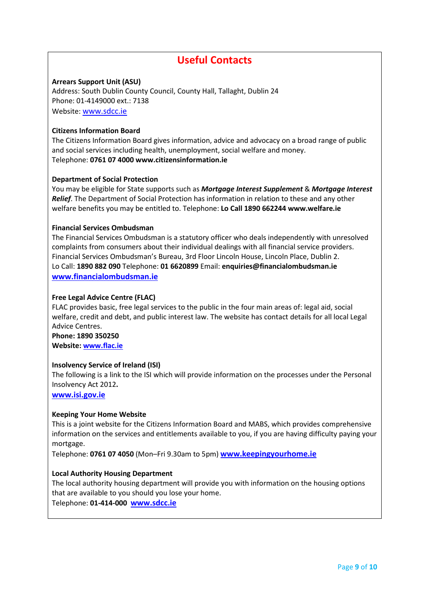## Useful Contacts

#### Arrears Support Unit (ASU)

Address: South Dublin County Council, County Hall, Tallaght, Dublin 24 Phone: 01-4149000 ext.: 7138 Website: www.sdcc.ie

#### Citizens Information Board

The Citizens Information Board gives information, advice and advocacy on a broad range of public and social services including health, unemployment, social welfare and money. Telephone: 0761 07 4000 www.citizensinformation.ie

#### Department of Social Protection

You may be eligible for State supports such as Mortgage Interest Supplement & Mortgage Interest **Relief.** The Department of Social Protection has information in relation to these and any other welfare benefits you may be entitled to. Telephone: Lo Call 1890 662244 www.welfare.ie

#### Financial Services Ombudsman

The Financial Services Ombudsman is a statutory officer who deals independently with unresolved complaints from consumers about their individual dealings with all financial service providers. Financial Services Ombudsman's Bureau, 3rd Floor Lincoln House, Lincoln Place, Dublin 2. Lo Call: 1890 882 090 Telephone: 01 6620899 Email: enquiries@financialombudsman.ie www.financialombudsman.ie

#### Free Legal Advice Centre (FLAC)

FLAC provides basic, free legal services to the public in the four main areas of: legal aid, social welfare, credit and debt, and public interest law. The website has contact details for all local Legal Advice Centres.

Phone: 1890 350250 Website: www.flac.ie

#### Insolvency Service of Ireland (ISI)

The following is a link to the ISI which will provide information on the processes under the Personal Insolvency Act 2012.

www.isi.gov.ie

#### Keeping Your Home Website

This is a joint website for the Citizens Information Board and MABS, which provides comprehensive information on the services and entitlements available to you, if you are having difficulty paying your mortgage.

Telephone: 0761 07 4050 (Mon-Fri 9.30am to 5pm) www.keepingyourhome.ie

#### Local Authority Housing Department

The local authority housing department will provide you with information on the housing options that are available to you should you lose your home.

Telephone: 01-414-000 www.sdcc.ie